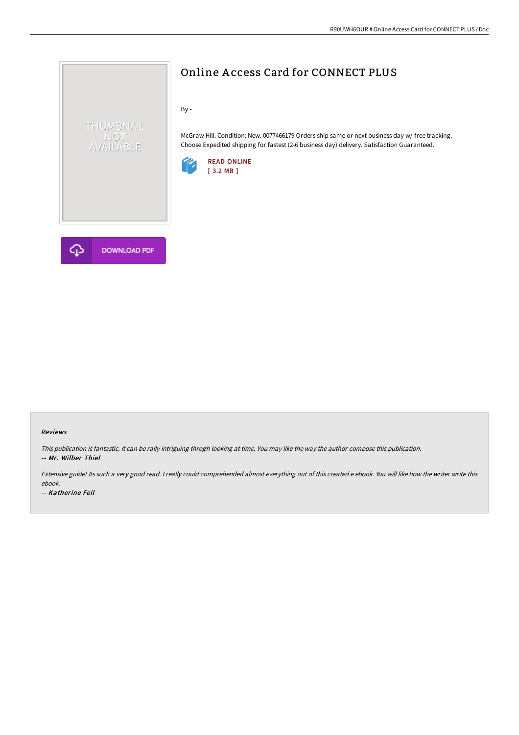

McGraw Hill. Condition: New. 0077466179 Orders ship same or next business day w/ free tracking. Choose Expedited shipping for fastest (2-6 business day) delivery. Satisfaction Guaranteed.

Online A ccess Card for CONNECT PLUS





**DOWNLOAD PDF** 

THUMBNAIL NOT<br>AVAILABLE

#### Reviews

This publication is fantastic. It can be rally intriguing throgh looking at time. You may like the way the author compose this publication. -- Mr. Wilber Thiel

Extensive guide! Its such <sup>a</sup> very good read. <sup>I</sup> really could comprehended almost everything out of this created <sup>e</sup> ebook. You will like how the writer write this ebook.

-- Katherine Feil